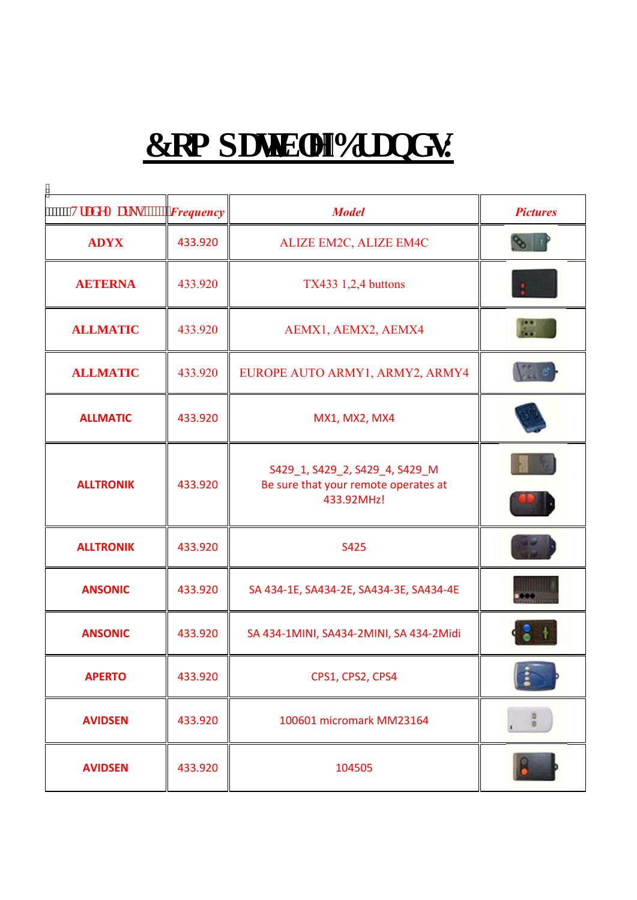## $E$ qo r c vkdng'Dt c pf u

| <b>AXXXXV</b> tcfgOctmi""" | $"$ Frequency | <b>Model</b>                                                                         | <b>Pictures</b> |
|----------------------------|---------------|--------------------------------------------------------------------------------------|-----------------|
| <b>ADYX</b>                | 433.920       | ALIZE EM2C, ALIZE EM4C                                                               |                 |
| <b>AETERNA</b>             | 433.920       | <b>TX433 1,2,4 buttons</b>                                                           |                 |
| <b>ALLMATIC</b>            | 433.920       | AEMX1, AEMX2, AEMX4                                                                  |                 |
| <b>ALLMATIC</b>            | 433.920       | EUROPE AUTO ARMY1, ARMY2, ARMY4                                                      |                 |
| <b>ALLMATIC</b>            | 433.920       | MX1, MX2, MX4                                                                        |                 |
| <b>ALLTRONIK</b>           | 433.920       | S429_1, S429_2, S429_4, S429_M<br>Be sure that your remote operates at<br>433.92MHz! |                 |
| <b>ALLTRONIK</b>           | 433.920       | S425                                                                                 |                 |
| <b>ANSONIC</b>             | 433.920       | SA 434-1E, SA434-2E, SA434-3E, SA434-4E                                              |                 |
| <b>ANSONIC</b>             | 433.920       | SA 434-1MINI, SA434-2MINI, SA 434-2Midi                                              |                 |
| <b>APERTO</b>              | 433.920       | CPS1, CPS2, CPS4                                                                     |                 |
| <b>AVIDSEN</b>             | 433.920       | 100601 micromark MM23164                                                             | $\frac{0}{0}$   |
| <b>AVIDSEN</b>             | 433.920       | 104505                                                                               |                 |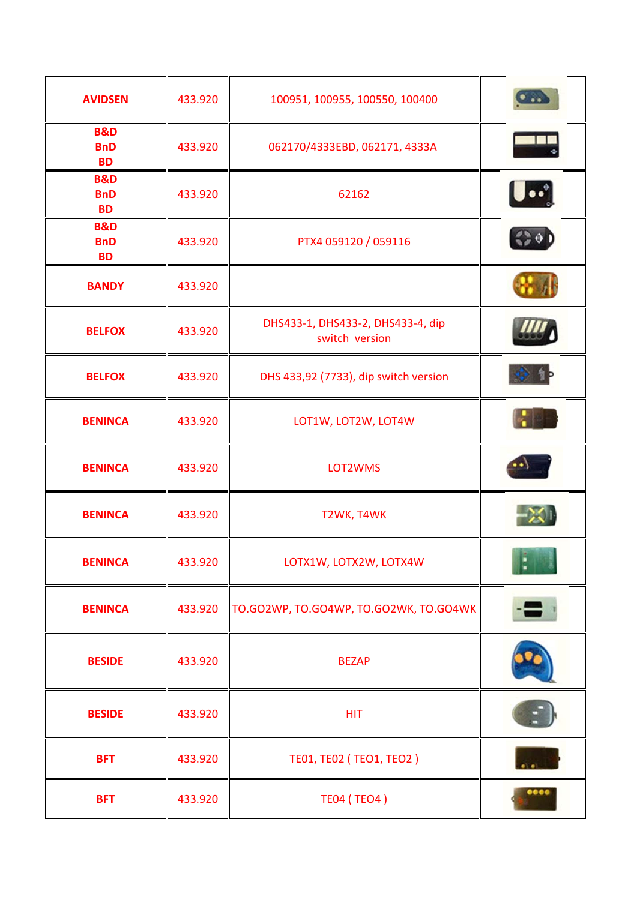| <b>AVIDSEN</b>                            | 433.920 | 100951, 100955, 100550, 100400                      |               |
|-------------------------------------------|---------|-----------------------------------------------------|---------------|
| <b>B&amp;D</b><br><b>BnD</b><br><b>BD</b> | 433.920 | 062170/4333EBD, 062171, 4333A                       |               |
| <b>B&amp;D</b><br><b>BnD</b><br><b>BD</b> | 433.920 | 62162                                               | $\bullet$     |
| <b>B&amp;D</b><br><b>BnD</b><br><b>BD</b> | 433.920 | PTX4 059120 / 059116                                |               |
| <b>BANDY</b>                              | 433.920 |                                                     |               |
| <b>BELFOX</b>                             | 433.920 | DHS433-1, DHS433-2, DHS433-4, dip<br>switch version |               |
| <b>BELFOX</b>                             | 433.920 | DHS 433,92 (7733), dip switch version               |               |
| <b>BENINCA</b>                            | 433.920 | LOT1W, LOT2W, LOT4W                                 |               |
| <b>BENINCA</b>                            | 433.920 | LOT2WMS                                             |               |
| <b>BENINCA</b>                            | 433.920 | T2WK, T4WK                                          |               |
| <b>BENINCA</b>                            | 433.920 | LOTX1W, LOTX2W, LOTX4W                              | <b>MERCHE</b> |
| <b>BENINCA</b>                            | 433.920 | TO.GO2WP, TO.GO4WP, TO.GO2WK, TO.GO4WK              |               |
| <b>BESIDE</b>                             | 433.920 | <b>BEZAP</b>                                        |               |
| <b>BESIDE</b>                             | 433.920 | <b>HIT</b>                                          |               |
| <b>BFT</b>                                | 433.920 | TE01, TE02 (TEO1, TEO2)                             |               |
| <b>BFT</b>                                | 433.920 | <b>TE04 (TEO4)</b>                                  | <b></b>       |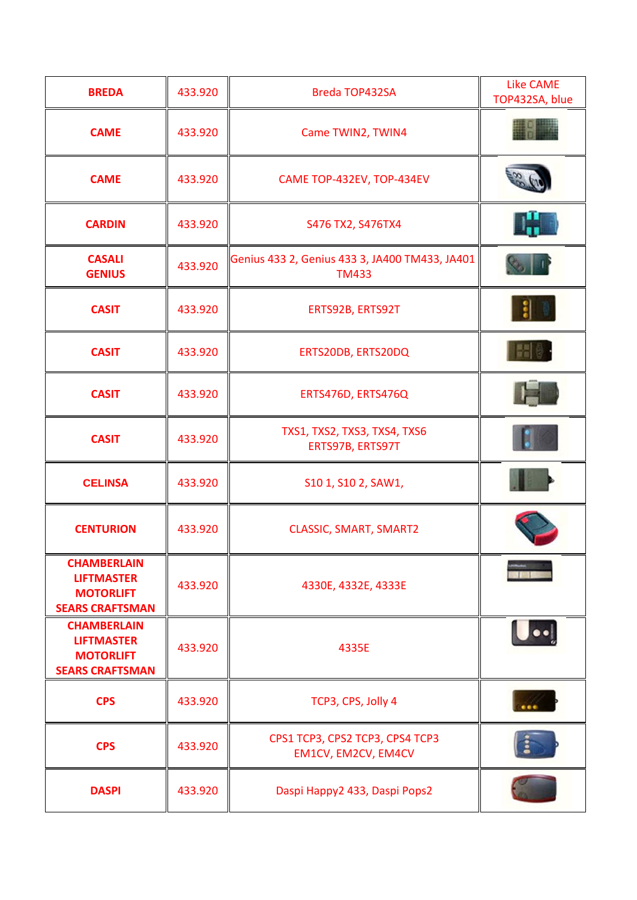| <b>BREDA</b>                                                                          | 433.920 | Breda TOP432SA                                                 | <b>Like CAME</b><br>TOP432SA, blue |
|---------------------------------------------------------------------------------------|---------|----------------------------------------------------------------|------------------------------------|
| <b>CAME</b>                                                                           | 433.920 | Came TWIN2, TWIN4                                              |                                    |
| <b>CAME</b>                                                                           | 433.920 | CAME TOP-432EV, TOP-434EV                                      |                                    |
| <b>CARDIN</b>                                                                         | 433.920 | S476 TX2, S476TX4                                              |                                    |
| <b>CASALI</b><br><b>GENIUS</b>                                                        | 433.920 | Genius 433 2, Genius 433 3, JA400 TM433, JA401<br><b>TM433</b> |                                    |
| <b>CASIT</b>                                                                          | 433.920 | ERTS92B, ERTS92T                                               |                                    |
| <b>CASIT</b>                                                                          | 433.920 | ERTS20DB, ERTS20DQ                                             |                                    |
| <b>CASIT</b>                                                                          | 433.920 | ERTS476D, ERTS476Q                                             |                                    |
| <b>CASIT</b>                                                                          | 433.920 | TXS1, TXS2, TXS3, TXS4, TXS6<br>ERTS97B, ERTS97T               |                                    |
| <b>CELINSA</b>                                                                        | 433.920 | S10 1, S10 2, SAW1,                                            |                                    |
| <b>CENTURION</b>                                                                      | 433.920 | <b>CLASSIC, SMART, SMART2</b>                                  |                                    |
| <b>CHAMBERLAIN</b><br><b>LIFTMASTER</b><br><b>MOTORLIFT</b><br><b>SEARS CRAFTSMAN</b> | 433.920 | 4330E, 4332E, 4333E                                            |                                    |
| <b>CHAMBERLAIN</b><br><b>LIFTMASTER</b><br><b>MOTORLIFT</b><br><b>SEARS CRAFTSMAN</b> | 433.920 | 4335E                                                          |                                    |
| <b>CPS</b>                                                                            | 433.920 | TCP3, CPS, Jolly 4                                             |                                    |
| <b>CPS</b>                                                                            | 433.920 | CPS1 TCP3, CPS2 TCP3, CPS4 TCP3<br>EM1CV, EM2CV, EM4CV         |                                    |
| <b>DASPI</b>                                                                          | 433.920 | Daspi Happy2 433, Daspi Pops2                                  |                                    |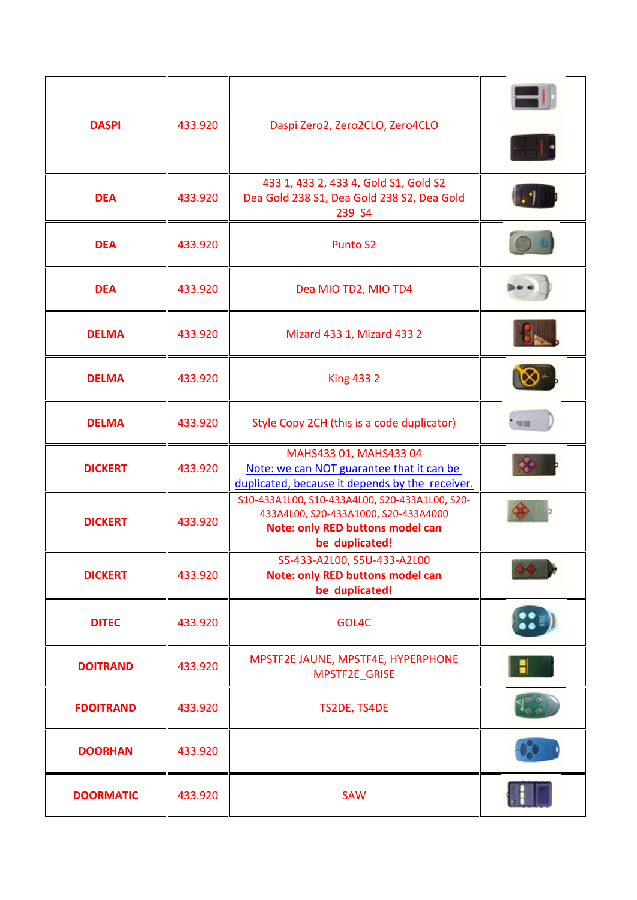| <b>DASPI</b>     | 433.920 | Daspi Zero2, Zero2CLO, Zero4CLO                                                                                        |                  |
|------------------|---------|------------------------------------------------------------------------------------------------------------------------|------------------|
| <b>DEA</b>       | 433.920 | 433 1, 433 2, 433 4, Gold S1, Gold S2<br>Dea Gold 238 S1, Dea Gold 238 S2, Dea Gold<br>239 S4                          |                  |
| <b>DEA</b>       | 433.920 | <b>Punto S2</b>                                                                                                        |                  |
| <b>DEA</b>       | 433.920 | Dea MIO TD2, MIO TD4                                                                                                   |                  |
| <b>DELMA</b>     | 433.920 | Mizard 433 1, Mizard 433 2                                                                                             |                  |
| <b>DELMA</b>     | 433.920 | <b>King 4332</b>                                                                                                       |                  |
| <b>DELMA</b>     | 433.920 | Style Copy 2CH (this is a code duplicator)                                                                             | 切目               |
| <b>DICKERT</b>   | 433.920 | MAHS433 01, MAHS433 04<br>Note: we can NOT guarantee that it can be<br>duplicated, because it depends by the receiver. |                  |
| <b>DICKERT</b>   | 433.920 | S10-433A1L00, S10-433A4L00, S20-433A1L00, S20-<br>433A4L00, S20-433A1000, S20-433A4000                                 |                  |
|                  |         | <b>Note: only RED buttons model can</b><br>be duplicated!                                                              |                  |
| <b>DICKERT</b>   | 433.920 | S5-433-A2L00, S5U-433-A2L00<br><b>Note: only RED buttons model can</b><br>be duplicated!                               |                  |
| <b>DITEC</b>     | 433.920 | GOL4C                                                                                                                  | $\ddot{\bullet}$ |
| <b>DOITRAND</b>  | 433.920 | MPSTF2E JAUNE, MPSTF4E, HYPERPHONE<br>MPSTF2E_GRISE                                                                    |                  |
| <b>FDOITRAND</b> | 433.920 | TS2DE, TS4DE                                                                                                           |                  |
| <b>DOORHAN</b>   | 433.920 |                                                                                                                        |                  |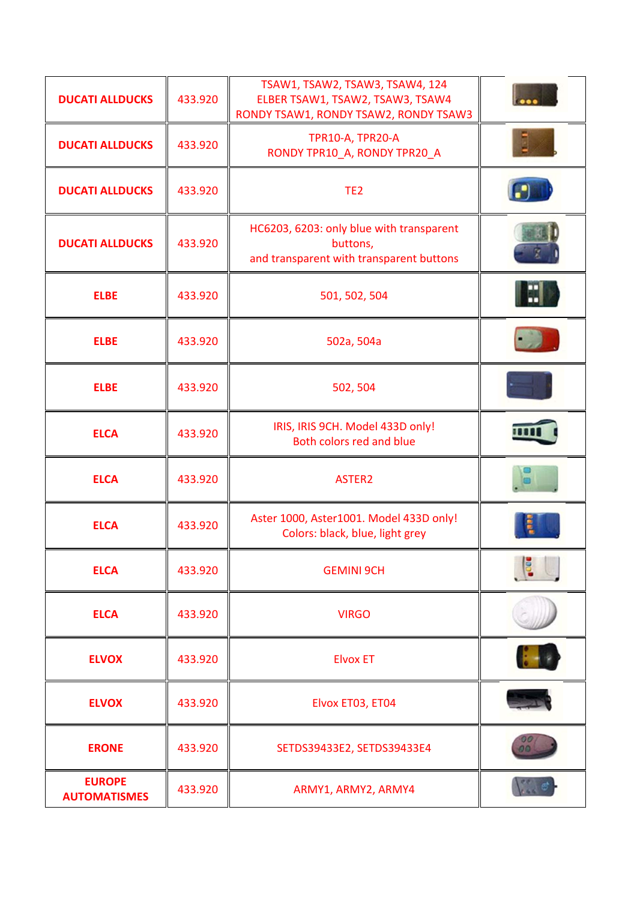| <b>DUCATI ALLDUCKS</b>               | 433.920 | TSAW1, TSAW2, TSAW3, TSAW4, 124<br>ELBER TSAW1, TSAW2, TSAW3, TSAW4<br>RONDY TSAW1, RONDY TSAW2, RONDY TSAW3 |  |
|--------------------------------------|---------|--------------------------------------------------------------------------------------------------------------|--|
| <b>DUCATI ALLDUCKS</b>               | 433.920 | TPR10-A, TPR20-A<br>RONDY TPR10 A, RONDY TPR20 A                                                             |  |
| <b>DUCATI ALLDUCKS</b>               | 433.920 | TE <sub>2</sub>                                                                                              |  |
| <b>DUCATI ALLDUCKS</b>               | 433.920 | HC6203, 6203: only blue with transparent<br>buttons,<br>and transparent with transparent buttons             |  |
| <b>ELBE</b>                          | 433.920 | 501, 502, 504                                                                                                |  |
| <b>ELBE</b>                          | 433.920 | 502a, 504a                                                                                                   |  |
| <b>ELBE</b>                          | 433.920 | 502, 504                                                                                                     |  |
| <b>ELCA</b>                          | 433.920 | IRIS, IRIS 9CH. Model 433D only!<br>Both colors red and blue                                                 |  |
| <b>ELCA</b>                          | 433.920 | ASTER2                                                                                                       |  |
| <b>ELCA</b>                          | 433.920 | Aster 1000, Aster1001. Model 433D only!<br>Colors: black, blue, light grey                                   |  |
| <b>ELCA</b>                          | 433.920 | <b>GEMINI 9CH</b>                                                                                            |  |
| <b>ELCA</b>                          | 433.920 | <b>VIRGO</b>                                                                                                 |  |
| <b>ELVOX</b>                         | 433.920 | <b>Elvox ET</b>                                                                                              |  |
| <b>ELVOX</b>                         | 433.920 | Elvox ET03, ET04                                                                                             |  |
| <b>ERONE</b>                         | 433.920 | SETDS39433E2, SETDS39433E4                                                                                   |  |
| <b>EUROPE</b><br><b>AUTOMATISMES</b> | 433.920 | ARMY1, ARMY2, ARMY4                                                                                          |  |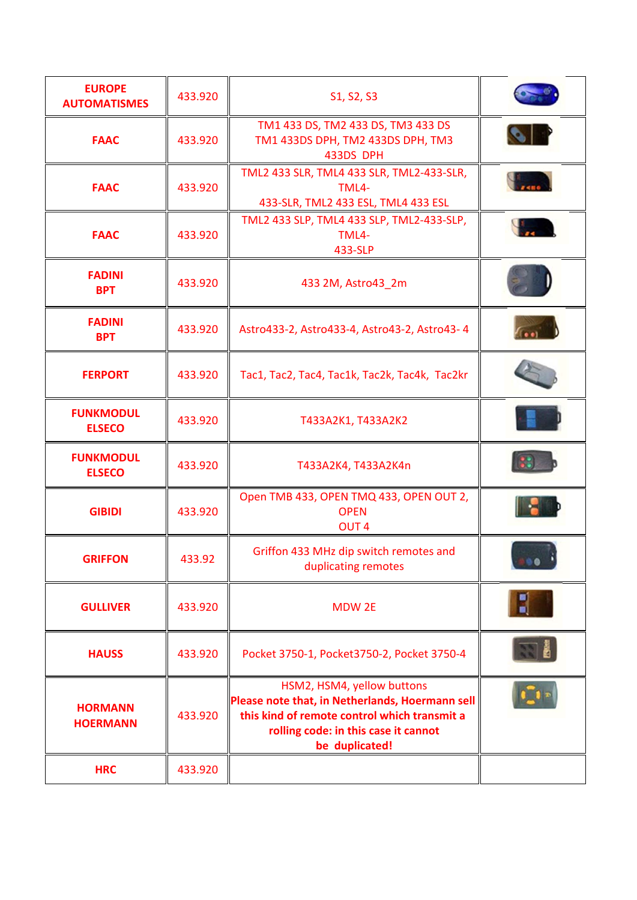| <b>EUROPE</b><br><b>AUTOMATISMES</b> | 433.920 | S1, S2, S3                                                                                                                                                                              |      |
|--------------------------------------|---------|-----------------------------------------------------------------------------------------------------------------------------------------------------------------------------------------|------|
| <b>FAAC</b>                          | 433.920 | TM1 433 DS, TM2 433 DS, TM3 433 DS<br>TM1 433DS DPH, TM2 433DS DPH, TM3<br>433DS DPH                                                                                                    |      |
| <b>FAAC</b>                          | 433.920 | TML2 433 SLR, TML4 433 SLR, TML2-433-SLR,<br>TML4-<br>433-SLR, TML2 433 ESL, TML4 433 ESL                                                                                               |      |
| <b>FAAC</b>                          | 433.920 | TML2 433 SLP, TML4 433 SLP, TML2-433-SLP,<br>TML4-<br>433-SLP                                                                                                                           |      |
| <b>FADINI</b><br><b>BPT</b>          | 433.920 | 433 2M, Astro43_2m                                                                                                                                                                      |      |
| <b>FADINI</b><br><b>BPT</b>          | 433.920 | Astro433-2, Astro433-4, Astro43-2, Astro43-4                                                                                                                                            |      |
| <b>FERPORT</b>                       | 433.920 | Tac1, Tac2, Tac4, Tac1k, Tac2k, Tac4k, Tac2kr                                                                                                                                           |      |
| <b>FUNKMODUL</b><br><b>ELSECO</b>    | 433.920 | T433A2K1, T433A2K2                                                                                                                                                                      |      |
| <b>FUNKMODUL</b><br><b>ELSECO</b>    | 433.920 | T433A2K4, T433A2K4n                                                                                                                                                                     |      |
| <b>GIBIDI</b>                        | 433.920 | Open TMB 433, OPEN TMQ 433, OPEN OUT 2,<br><b>OPEN</b><br>OUT <sub>4</sub>                                                                                                              |      |
| <b>GRIFFON</b>                       | 433.92  | Griffon 433 MHz dip switch remotes and<br>duplicating remotes                                                                                                                           | 0.06 |
| <b>GULLIVER</b>                      | 433.920 | <b>MDW 2E</b>                                                                                                                                                                           |      |
| <b>HAUSS</b>                         | 433.920 | Pocket 3750-1, Pocket3750-2, Pocket 3750-4                                                                                                                                              |      |
| <b>HORMANN</b><br><b>HOERMANN</b>    | 433.920 | HSM2, HSM4, yellow buttons<br>Please note that, in Netherlands, Hoermann sell<br>this kind of remote control which transmit a<br>rolling code: in this case it cannot<br>be duplicated! |      |
| <b>HRC</b>                           | 433.920 |                                                                                                                                                                                         |      |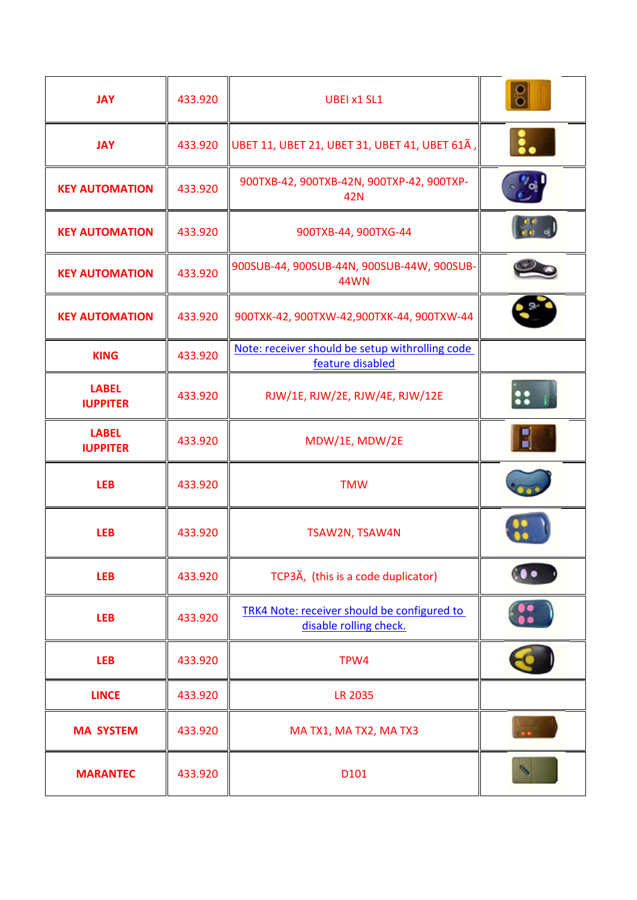| <b>JAY</b>                      | 433.920 | <b>UBEI x1 SL1</b>                                                    |     |
|---------------------------------|---------|-----------------------------------------------------------------------|-----|
| <b>JAY</b>                      | 433.920 | UBET 11, UBET 21, UBET 31, UBET 41, UBET 61A,                         |     |
| <b>KEY AUTOMATION</b>           | 433.920 | 900TXB-42, 900TXB-42N, 900TXP-42, 900TXP-<br>42N                      |     |
| <b>KEY AUTOMATION</b>           | 433.920 | 900TXB-44, 900TXG-44                                                  |     |
| <b>KEY AUTOMATION</b>           | 433.920 | 900SUB-44, 900SUB-44N, 900SUB-44W, 900SUB-<br><b>44WN</b>             |     |
| <b>KEY AUTOMATION</b>           | 433.920 | 900TXK-42, 900TXW-42, 900TXK-44, 900TXW-44                            |     |
| <b>KING</b>                     | 433.920 | Note: receiver should be setup withrolling code<br>feature disabled   |     |
| <b>LABEL</b><br><b>IUPPITER</b> | 433.920 | RJW/1E, RJW/2E, RJW/4E, RJW/12E                                       | 88. |
| <b>LABEL</b><br><b>IUPPITER</b> | 433.920 | MDW/1E, MDW/2E                                                        |     |
| <b>LEB</b>                      | 433.920 | <b>TMW</b>                                                            |     |
| <b>LEB</b>                      | 433.920 | TSAW2N, TSAW4N                                                        |     |
| <b>LEB</b>                      | 433.920 | TCP3A, (this is a code duplicator)                                    |     |
| <b>LEB</b>                      | 433.920 | TRK4 Note: receiver should be configured to<br>disable rolling check. |     |
| <b>LEB</b>                      | 433.920 | TPW4                                                                  |     |
| <b>LINCE</b>                    | 433.920 | <b>LR 2035</b>                                                        |     |
| <b>MA SYSTEM</b>                | 433.920 | MA TX1, MA TX2, MA TX3                                                |     |
| <b>MARANTEC</b>                 | 433.920 | D101                                                                  |     |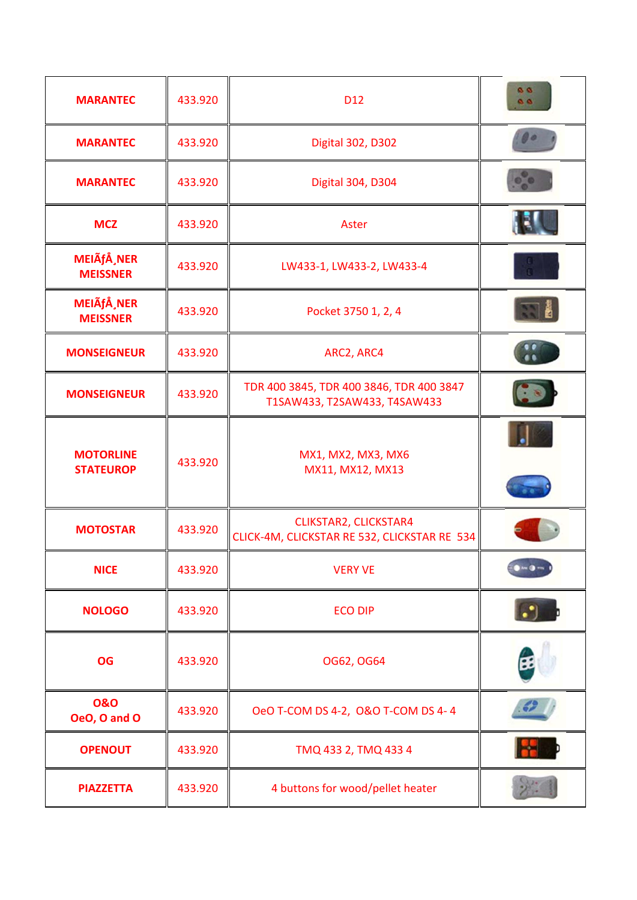| <b>MARANTEC</b>                       | 433.920 | D <sub>12</sub>                                                              | <b>A</b><br>99 |
|---------------------------------------|---------|------------------------------------------------------------------------------|----------------|
| <b>MARANTEC</b>                       | 433.920 | <b>Digital 302, D302</b>                                                     |                |
| <b>MARANTEC</b>                       | 433.920 | <b>Digital 304, D304</b>                                                     |                |
| <b>MCZ</b>                            | 433.920 | Aster                                                                        |                |
| MEIÃfÅ, NER<br><b>MEISSNER</b>        | 433.920 | LW433-1, LW433-2, LW433-4                                                    |                |
| <b>MEIÃfÅ, NER</b><br><b>MEISSNER</b> | 433.920 | Pocket 3750 1, 2, 4                                                          |                |
| <b>MONSEIGNEUR</b>                    | 433.920 | ARC2, ARC4                                                                   |                |
| <b>MONSEIGNEUR</b>                    | 433.920 | TDR 400 3845, TDR 400 3846, TDR 400 3847<br>T1SAW433, T2SAW433, T4SAW433     |                |
| <b>MOTORLINE</b><br><b>STATEUROP</b>  | 433.920 | MX1, MX2, MX3, MX6<br>MX11, MX12, MX13                                       |                |
| <b>MOTOSTAR</b>                       | 433.920 | <b>CLIKSTAR2, CLICKSTAR4</b><br>CLICK-4M, CLICKSTAR RE 532, CLICKSTAR RE 534 |                |
| <b>NICE</b>                           | 433.920 | <b>VERY VE</b>                                                               |                |
| <b>NOLOGO</b>                         | 433.920 | <b>ECO DIP</b>                                                               |                |
| <b>OG</b>                             | 433.920 | OG62, OG64                                                                   |                |
| 0&0<br>OeO, O and O                   | 433.920 | OeO T-COM DS 4-2, O&O T-COM DS 4-4                                           |                |
| <b>OPENOUT</b>                        | 433.920 | TMQ 433 2, TMQ 433 4                                                         |                |
| <b>PIAZZETTA</b>                      | 433.920 | 4 buttons for wood/pellet heater                                             |                |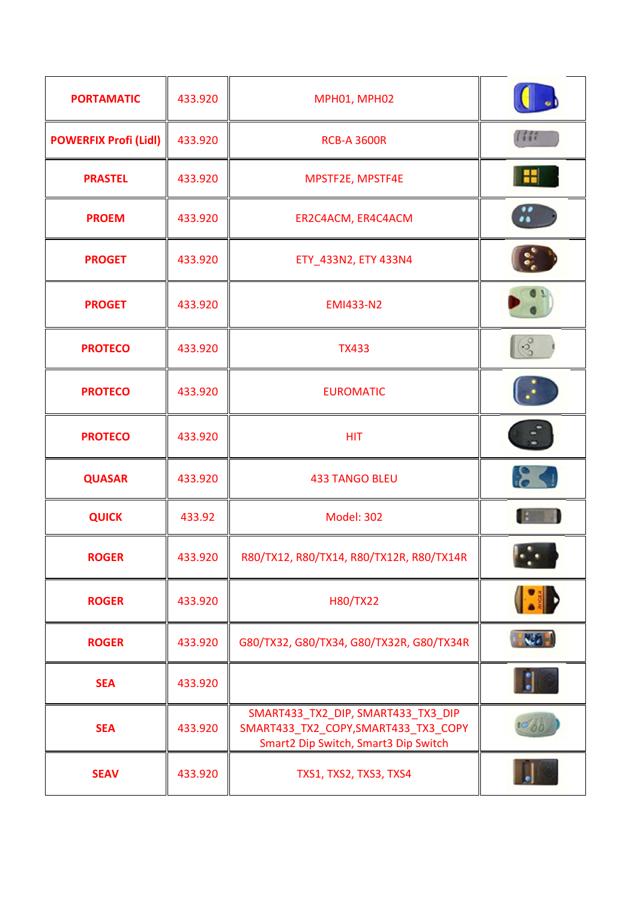| <b>PORTAMATIC</b>            | 433.920 | MPH01, MPH02                                                                                                      |              |
|------------------------------|---------|-------------------------------------------------------------------------------------------------------------------|--------------|
| <b>POWERFIX Profi (Lidl)</b> | 433.920 | <b>RCB-A 3600R</b>                                                                                                | (111)        |
| <b>PRASTEL</b>               | 433.920 | MPSTF2E, MPSTF4E                                                                                                  |              |
| <b>PROEM</b>                 | 433.920 | ER2C4ACM, ER4C4ACM                                                                                                |              |
| <b>PROGET</b>                | 433.920 | ETY_433N2, ETY 433N4                                                                                              |              |
| <b>PROGET</b>                | 433.920 | <b>EMI433-N2</b>                                                                                                  |              |
| <b>PROTECO</b>               | 433.920 | <b>TX433</b>                                                                                                      | $\sqrt{3}$   |
| <b>PROTECO</b>               | 433.920 | <b>EUROMATIC</b>                                                                                                  |              |
| <b>PROTECO</b>               | 433.920 | <b>HIT</b>                                                                                                        |              |
| <b>QUASAR</b>                | 433.920 | <b>433 TANGO BLEU</b>                                                                                             | 84           |
| <b>QUICK</b>                 | 433.92  | <b>Model: 302</b>                                                                                                 |              |
| <b>ROGER</b>                 | 433.920 | R80/TX12, R80/TX14, R80/TX12R, R80/TX14R                                                                          |              |
| <b>ROGER</b>                 | 433.920 | H80/TX22                                                                                                          | <b>ISTER</b> |
| <b>ROGER</b>                 | 433.920 | G80/TX32, G80/TX34, G80/TX32R, G80/TX34R                                                                          | $\sqrt{2}$   |
| <b>SEA</b>                   | 433.920 |                                                                                                                   |              |
| <b>SEA</b>                   | 433.920 | SMART433_TX2_DIP, SMART433_TX3_DIP<br>SMART433_TX2_COPY,SMART433_TX3_COPY<br>Smart2 Dip Switch, Smart3 Dip Switch |              |
| <b>SEAV</b>                  | 433.920 | TXS1, TXS2, TXS3, TXS4                                                                                            |              |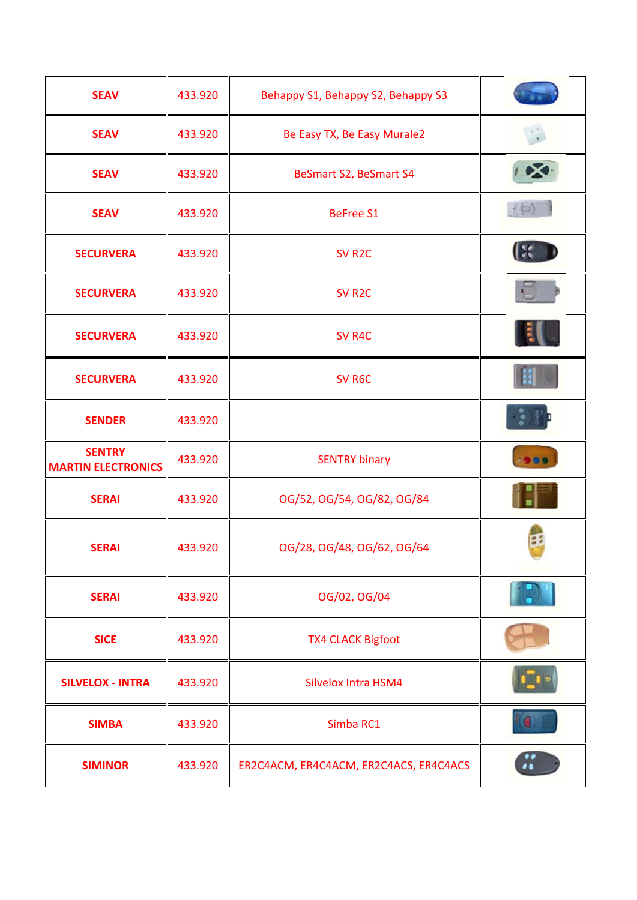| <b>SEAV</b>                                | 433.920 | Behappy S1, Behappy S2, Behappy S3     |              |
|--------------------------------------------|---------|----------------------------------------|--------------|
| <b>SEAV</b>                                | 433.920 | Be Easy TX, Be Easy Murale2            |              |
| <b>SEAV</b>                                | 433.920 | BeSmart S2, BeSmart S4                 |              |
| <b>SEAV</b>                                | 433.920 | <b>BeFree S1</b>                       | 400          |
| <b>SECURVERA</b>                           | 433.920 | SV <sub>R2C</sub>                      | $\mathbf{R}$ |
| <b>SECURVERA</b>                           | 433.920 | SV <sub>R2C</sub>                      | Ū            |
| <b>SECURVERA</b>                           | 433.920 | SV R4C                                 |              |
| <b>SECURVERA</b>                           | 433.920 | SV <sub>R6C</sub>                      |              |
| <b>SENDER</b>                              | 433.920 |                                        |              |
| <b>SENTRY</b><br><b>MARTIN ELECTRONICS</b> | 433.920 | <b>SENTRY binary</b>                   | 1999         |
| <b>SERAI</b>                               | 433.920 | OG/52, OG/54, OG/82, OG/84             |              |
| <b>SERAI</b>                               | 433.920 | OG/28, OG/48, OG/62, OG/64             | 38           |
| <b>SERAI</b>                               | 433.920 | OG/02, OG/04                           |              |
| <b>SICE</b>                                | 433.920 | <b>TX4 CLACK Bigfoot</b>               |              |
| <b>SILVELOX - INTRA</b>                    | 433.920 | <b>Silvelox Intra HSM4</b>             |              |
| <b>SIMBA</b>                               | 433.920 | Simba RC1                              |              |
| <b>SIMINOR</b>                             | 433.920 | ER2C4ACM, ER4C4ACM, ER2C4ACS, ER4C4ACS |              |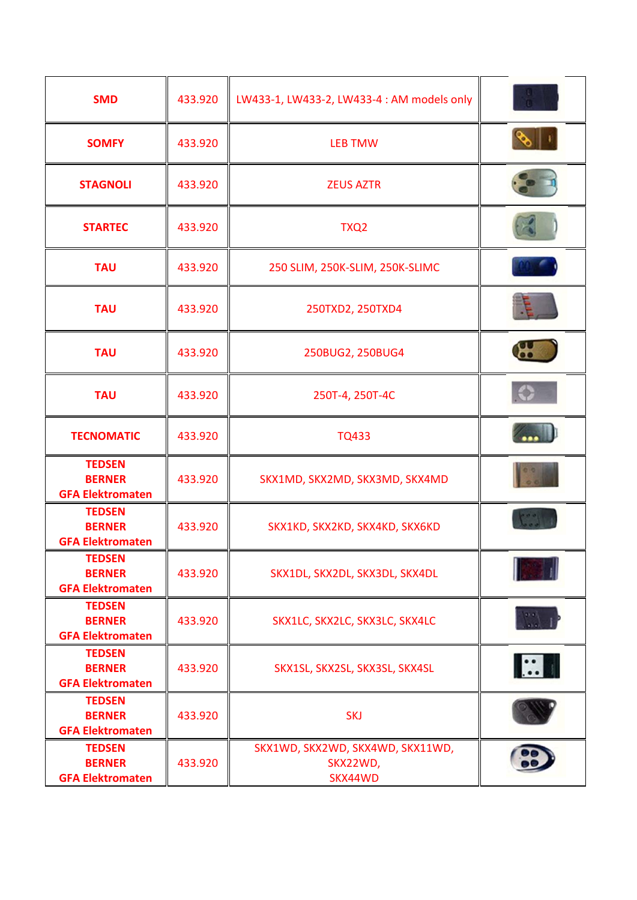| <b>SMD</b>                                                | 433.920 | LW433-1, LW433-2, LW433-4 : AM models only              |            |
|-----------------------------------------------------------|---------|---------------------------------------------------------|------------|
| <b>SOMFY</b>                                              | 433.920 | <b>LEB TMW</b>                                          |            |
| <b>STAGNOLI</b>                                           | 433.920 | <b>ZEUS AZTR</b>                                        |            |
| <b>STARTEC</b>                                            | 433.920 | TXQ <sub>2</sub>                                        |            |
| <b>TAU</b>                                                | 433.920 | 250 SLIM, 250K-SLIM, 250K-SLIMC                         |            |
| <b>TAU</b>                                                | 433.920 | 250TXD2, 250TXD4                                        |            |
| <b>TAU</b>                                                | 433.920 | 250BUG2, 250BUG4                                        |            |
| <b>TAU</b>                                                | 433.920 | 250T-4, 250T-4C                                         |            |
| <b>TECNOMATIC</b>                                         | 433.920 | <b>TQ433</b>                                            |            |
| <b>TEDSEN</b><br><b>BERNER</b><br><b>GFA Elektromaten</b> | 433.920 | SKX1MD, SKX2MD, SKX3MD, SKX4MD                          |            |
| <b>TEDSEN</b><br><b>BERNER</b><br><b>GFA Elektromaten</b> | 433.920 | SKX1KD, SKX2KD, SKX4KD, SKX6KD                          |            |
| <b>TEDSEN</b><br><b>BERNER</b><br><b>GFA Elektromaten</b> | 433.920 | SKX1DL, SKX2DL, SKX3DL, SKX4DL                          |            |
| <b>TEDSEN</b><br><b>BERNER</b><br><b>GFA Elektromaten</b> | 433.920 | SKX1LC, SKX2LC, SKX3LC, SKX4LC                          |            |
| <b>TEDSEN</b><br><b>BERNER</b><br><b>GFA Elektromaten</b> | 433.920 | SKX1SL, SKX2SL, SKX3SL, SKX4SL                          | <b>IEA</b> |
| <b>TEDSEN</b><br><b>BERNER</b><br><b>GFA Elektromaten</b> | 433.920 | <b>SKJ</b>                                              |            |
| <b>TEDSEN</b><br><b>BERNER</b><br><b>GFA Elektromaten</b> | 433.920 | SKX1WD, SKX2WD, SKX4WD, SKX11WD,<br>SKX22WD,<br>SKX44WD |            |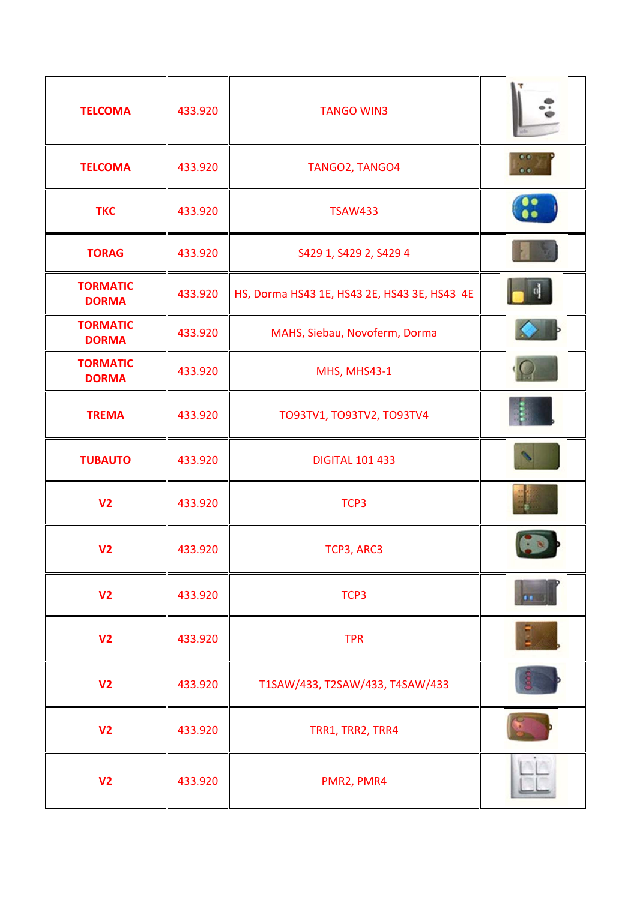| <b>TELCOMA</b>                  | 433.920 | <b>TANGO WIN3</b>                            |              |
|---------------------------------|---------|----------------------------------------------|--------------|
| <b>TELCOMA</b>                  | 433.920 | TANGO2, TANGO4                               |              |
| <b>TKC</b>                      | 433.920 | <b>TSAW433</b>                               | $\mathbf{C}$ |
| <b>TORAG</b>                    | 433.920 | S429 1, S429 2, S429 4                       |              |
| <b>TORMATIC</b><br><b>DORMA</b> | 433.920 | HS, Dorma HS43 1E, HS43 2E, HS43 3E, HS43 4E |              |
| <b>TORMATIC</b><br><b>DORMA</b> | 433.920 | MAHS, Siebau, Novoferm, Dorma                |              |
| <b>TORMATIC</b><br><b>DORMA</b> | 433.920 | MHS, MHS43-1                                 |              |
| <b>TREMA</b>                    | 433.920 | TO93TV1, TO93TV2, TO93TV4                    |              |
| <b>TUBAUTO</b>                  | 433.920 | <b>DIGITAL 101 433</b>                       |              |
| V <sub>2</sub>                  | 433.920 | TCP3                                         |              |
| V <sub>2</sub>                  | 433.920 | TCP3, ARC3                                   |              |
| V <sub>2</sub>                  | 433.920 | TCP3                                         |              |
| V <sub>2</sub>                  | 433.920 | <b>TPR</b>                                   |              |
| V <sub>2</sub>                  | 433.920 | T1SAW/433, T2SAW/433, T4SAW/433              |              |
| V <sub>2</sub>                  | 433.920 | TRR1, TRR2, TRR4                             |              |
| V <sub>2</sub>                  | 433.920 | PMR2, PMR4                                   |              |